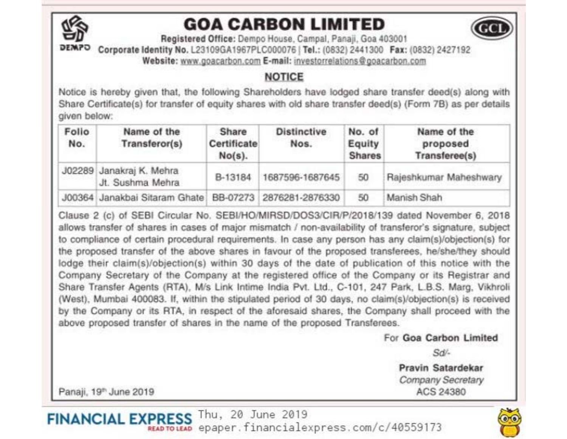

## **GOA CARBON LIMITED**



Registered Office: Dempo House, Campal, Panaii, Goa 403001 Corporate Identity No. L23109GA1967PLC000076 | Tel.: (0832) 2441300 Fax: (0832) 2427192 Website: www.goacarbon.com E-mail: investorrelations@goacarbon.com

## **NOTICE**

Notice is hereby given that, the following Shareholders have lodged share transfer deed(s) along with Share Certificate(s) for transfer of equity shares with old share transfer deed(s) (Form 7B) as per details given below:

| Folio<br>No. | Name of the<br>Transferor(s)                 | Share<br><b>Certificate</b><br>$No(s)$ . | <b>Distinctive</b><br>Nos. | No. of<br>Equity<br><b>Shares</b> | Name of the<br>proposed<br>Transferee(s) |
|--------------|----------------------------------------------|------------------------------------------|----------------------------|-----------------------------------|------------------------------------------|
|              | J02289 Janakraj K. Mehra<br>Jt. Sushma Mehra | B-13184                                  | 1687596-1687645            | 50                                | Rajeshkumar Maheshwary                   |
|              | J00364 Janakbai Sitaram Ghate                |                                          | BB-07273 2876281-2876330   | 50                                | Manish Shah                              |

Clause 2 (c) of SEBI Circular No. SEBI/HO/MIRSD/DOS3/CIR/P/2018/139 dated November 6, 2018 allows transfer of shares in cases of major mismatch / non-availability of transferor's signature, subject to compliance of certain procedural requirements. In case any person has any claim(s)/objection(s) for the proposed transfer of the above shares in favour of the proposed transferees, he/she/they should lodge their claim(s)/objection(s) within 30 days of the date of publication of this notice with the Company Secretary of the Company at the registered office of the Company or its Registrar and Share Transfer Agents (RTA), M/s Link Intime India Pvt. Ltd., C-101, 247 Park, L.B.S. Marg, Vikhroli (West), Mumbai 400083. If, within the stipulated period of 30 days, no claim(s)/objection(s) is received by the Company or its RTA, in respect of the aforesaid shares, the Company shall proceed with the above proposed transfer of shares in the name of the proposed Transferees.

For Goa Carbon Limited

Sd/-

Pravin Satardekar Company Secretary ACS 24380

Panaji, 19<sup>th</sup> June 2019

FINANCIAL EXPRESS Thu, 20 June 2019 READ TO LEAD epaper. financialexpress.com/c/40559173